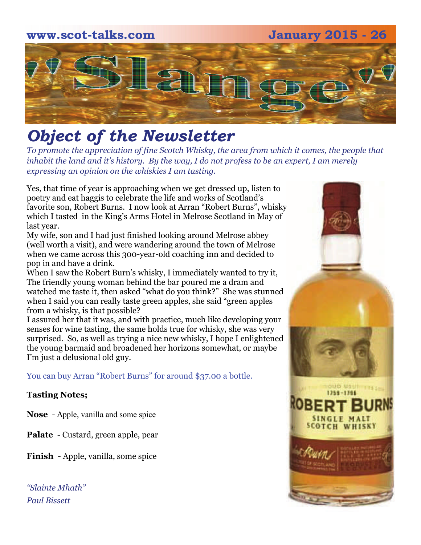# **www.scot-talks.com January 2015 - 26** 1211

# *Object of the Newsletter*

*To promote the appreciation of fine Scotch Whisky, the area from which it comes, the people that inhabit the land and it's history. By the way, I do not profess to be an expert, I am merely expressing an opinion on the whiskies I am tasting.* 

Yes, that time of year is approaching when we get dressed up, listen to poetry and eat haggis to celebrate the life and works of Scotland's favorite son, Robert Burns. I now look at Arran "Robert Burns", whisky which I tasted in the King's Arms Hotel in Melrose Scotland in May of last year.

My wife, son and I had just finished looking around Melrose abbey (well worth a visit), and were wandering around the town of Melrose when we came across this 300-year-old coaching inn and decided to pop in and have a drink.

When I saw the Robert Burn's whisky, I immediately wanted to try it, The friendly young woman behind the bar poured me a dram and watched me taste it, then asked "what do you think?" She was stunned when I said you can really taste green apples, she said "green apples from a whisky, is that possible?

I assured her that it was, and with practice, much like developing your senses for wine tasting, the same holds true for whisky, she was very surprised. So, as well as trying a nice new whisky, I hope I enlightened the young barmaid and broadened her horizons somewhat, or maybe I'm just a delusional old guy.

You can buy Arran "Robert Burns" for around \$37.00 a bottle.

### **Tasting Notes;**

**Nose** - Apple, vanilla and some spice

**Palate** - Custard, green apple, pear

**Finish** - Apple, vanilla, some spice

*"Slainte Mhath" Paul Bissett*

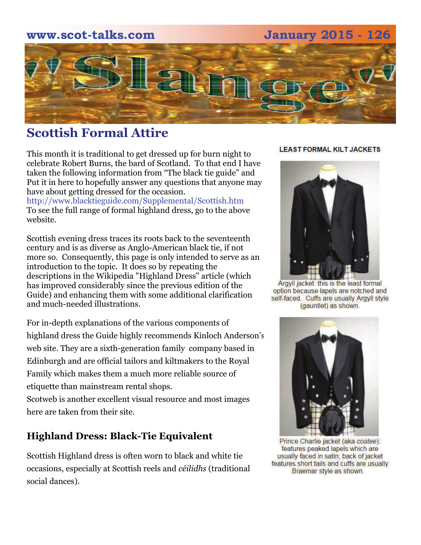# **www.scot-talks.com January 2015 - 126**



# **Scottish Formal Attire**

This month it is traditional to get dressed up for burn night to celebrate Robert Burns, the bard of Scotland. To that end I have taken the following information from "The black tie guide" and Put it in here to hopefully answer any questions that anyone may have about getting dressed for the occasion.

http://www.blacktieguide.com/Supplemental/Scottish.htm To see the full range of formal highland dress, go to the above website.

Scottish evening dress traces its roots back to the seventeenth century and is as diverse as Anglo-American black tie, if not more so. Consequently, this page is only intended to serve as an introduction to the topic. It does so by repeating the descriptions in the Wikipedia "Highland Dress" article (which has improved considerably since the previous edition of the Guide) and enhancing them with some additional clarification and much-needed illustrations.

For in-depth explanations of the various components of highland dress the Guide highly recommends Kinloch Anderson's web site. They are a sixth-generation family company based in Edinburgh and are official tailors and kiltmakers to the Royal Family which makes them a much more reliable source of etiquette than mainstream rental shops.

[Scotweb](http://www.scotweb.co.uk/) is another excellent visual resource and most images here are taken from their site.

# **Highland Dress: Black-Tie Equivalent**

Scottish Highland dress is often worn to black and white tie occasions, especially at Scottish reels and *céilidhs* (traditional social dances).

#### **LEAST FORMAL KILT JACKETS**



Argyll jacket: this is the least formal option because lapels are notched and self-faced. Cuffs are usually Argyll style (gauntlet) as shown.



Prince Charlie jacket (aka coatee): features peaked lapels which are usually faced in satin; back of jacket features short tails and cuffs are usually Braemar style as shown.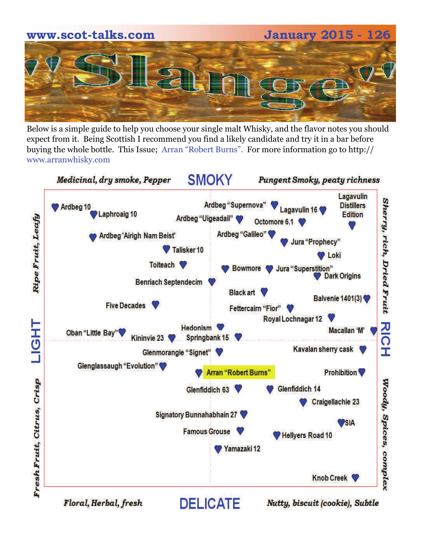# **www.scot-talks.com January 2015 - 126**

Below is a simple guide to help you choose your single malt Whisky, and the flavor notes you should expect from it. Being Scottish I recommend you find a likely candidate and try it in a bar before buying the whole bottle. This Issue; Arran "Robert Burns". For more information go to http:// www.arranwhisky.com



Floral, Herbal, fresh

Nutty, biscuit (cookie), Subtle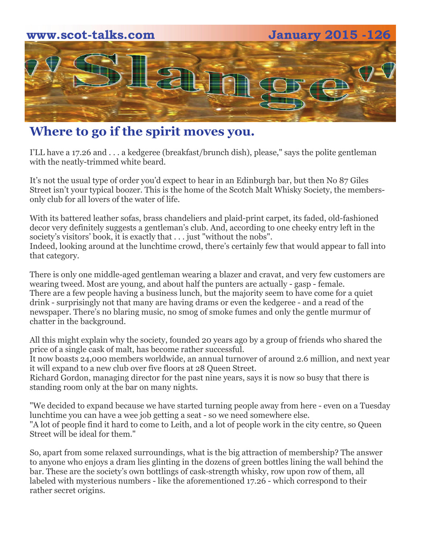

# **Where to go if the spirit moves you.**

I'LL have a 17.26 and . . . a kedgeree (breakfast/brunch dish), please," says the polite gentleman with the neatly-trimmed white beard.

It's not the usual type of order you'd expect to hear in an Edinburgh bar, but then No 87 Giles Street isn't your typical boozer. This is the home of the Scotch Malt Whisky Society, the membersonly club for all lovers of the water of life.

With its battered leather sofas, brass chandeliers and plaid-print carpet, its faded, old-fashioned decor very definitely suggests a gentleman's club. And, according to one cheeky entry left in the society's visitors' book, it is exactly that . . . just "without the nobs". Indeed, looking around at the lunchtime crowd, there's certainly few that would appear to fall into that category.

There is only one middle-aged gentleman wearing a blazer and cravat, and very few customers are wearing tweed. Most are young, and about half the punters are actually - gasp - female. There are a few people having a business lunch, but the majority seem to have come for a quiet drink - surprisingly not that many are having drams or even the kedgeree - and a read of the newspaper. There's no blaring music, no smog of smoke fumes and only the gentle murmur of chatter in the background.

All this might explain why the society, founded 20 years ago by a group of friends who shared the price of a single cask of malt, has become rather successful.

It now boasts 24,000 members worldwide, an annual turnover of around 2.6 million, and next year it will expand to a new club over five floors at 28 Queen Street.

Richard Gordon, managing director for the past nine years, says it is now so busy that there is standing room only at the bar on many nights.

"We decided to expand because we have started turning people away from here - even on a Tuesday lunchtime you can have a wee job getting a seat - so we need somewhere else. "A lot of people find it hard to come to Leith, and a lot of people work in the city centre, so Queen Street will be ideal for them."

So, apart from some relaxed surroundings, what is the big attraction of membership? The answer to anyone who enjoys a dram lies glinting in the dozens of green bottles lining the wall behind the bar. These are the society's own bottlings of cask-strength whisky, row upon row of them, all labeled with mysterious numbers - like the aforementioned 17.26 - which correspond to their rather secret origins.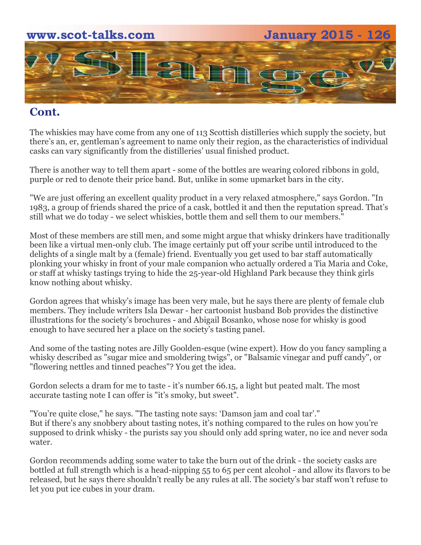

# **Cont.**

The whiskies may have come from any one of 113 Scottish distilleries which supply the society, but there's an, er, gentleman's agreement to name only their region, as the characteristics of individual casks can vary significantly from the distilleries' usual finished product.

There is another way to tell them apart - some of the bottles are wearing colored ribbons in gold, purple or red to denote their price band. But, unlike in some upmarket bars in the city.

"We are just offering an excellent quality product in a very relaxed atmosphere," says Gordon. "In 1983, a group of friends shared the price of a cask, bottled it and then the reputation spread. That's still what we do today - we select whiskies, bottle them and sell them to our members."

Most of these members are still men, and some might argue that whisky drinkers have traditionally been like a virtual men-only club. The image certainly put off your scribe until introduced to the delights of a single malt by a (female) friend. Eventually you get used to bar staff automatically plonking your whisky in front of your male companion who actually ordered a Tia Maria and Coke, or staff at whisky tastings trying to hide the 25-year-old Highland Park because they think girls know nothing about whisky.

Gordon agrees that whisky's image has been very male, but he says there are plenty of female club members. They include writers Isla Dewar - her cartoonist husband Bob provides the distinctive illustrations for the society's brochures - and Abigail Bosanko, whose nose for whisky is good enough to have secured her a place on the society's tasting panel.

And some of the tasting notes are Jilly Goolden-esque (wine expert). How do you fancy sampling a whisky described as "sugar mice and smoldering twigs", or "Balsamic vinegar and puff candy", or "flowering nettles and tinned peaches"? You get the idea.

Gordon selects a dram for me to taste - it's number 66.15, a light but peated malt. The most accurate tasting note I can offer is "it's smoky, but sweet".

"You're quite close," he says. "The tasting note says: 'Damson jam and coal tar'." But if there's any snobbery about tasting notes, it's nothing compared to the rules on how you're supposed to drink whisky - the purists say you should only add spring water, no ice and never soda water.

Gordon recommends adding some water to take the burn out of the drink - the society casks are bottled at full strength which is a head-nipping 55 to 65 per cent alcohol - and allow its flavors to be released, but he says there shouldn't really be any rules at all. The society's bar staff won't refuse to let you put ice cubes in your dram.